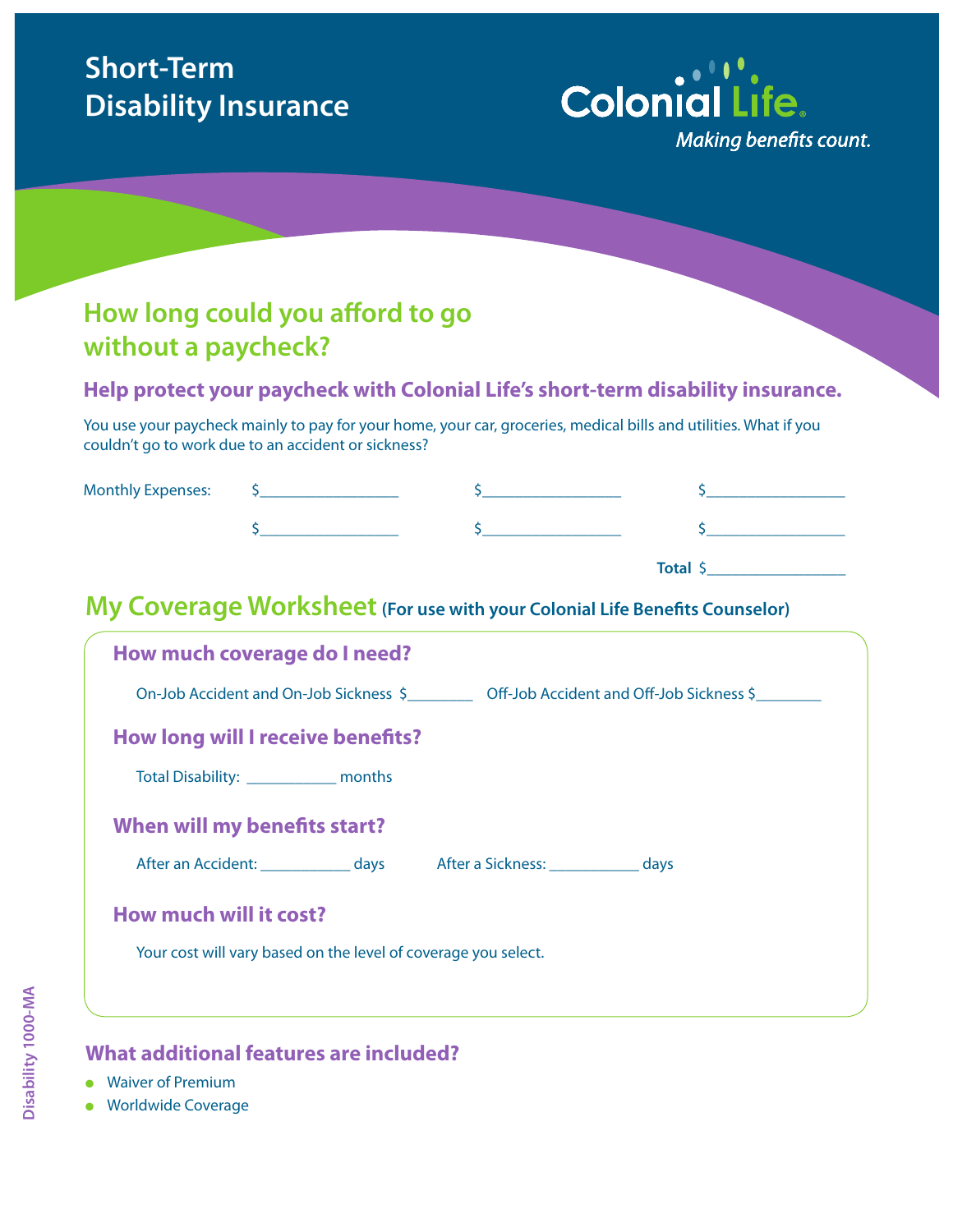# **Short-Term Disability Insurance**



### **How long could you afford to go without a paycheck?**

#### **Help protect your paycheck with Colonial Life's short-term disability insurance.**

You use your paycheck mainly to pay for your home, your car, groceries, medical bills and utilities. What if you couldn't go to work due to an accident or sickness?

| <b>Monthly Expenses:</b> |  |  |
|--------------------------|--|--|
|                          |  |  |

| Total |
|-------|
|-------|

### **My Coverage Worksheet** (For use with your Colonial Life Benefits Counselor)

| How much coverage do I need?                                                    |
|---------------------------------------------------------------------------------|
| On-Job Accident and On-Job Sickness \$ Off-Job Accident and Off-Job Sickness \$ |
| How long will I receive benefits?                                               |
| Total Disability: _______________ months                                        |
| When will my benefits start?                                                    |
| After an Accident: ______________ days date a Sickness: _____________ days      |
| How much will it cost?                                                          |
| Your cost will vary based on the level of coverage you select.                  |
|                                                                                 |

#### **What additional features are included?**

- Waiver of Premium
- **Worldwide Coverage**